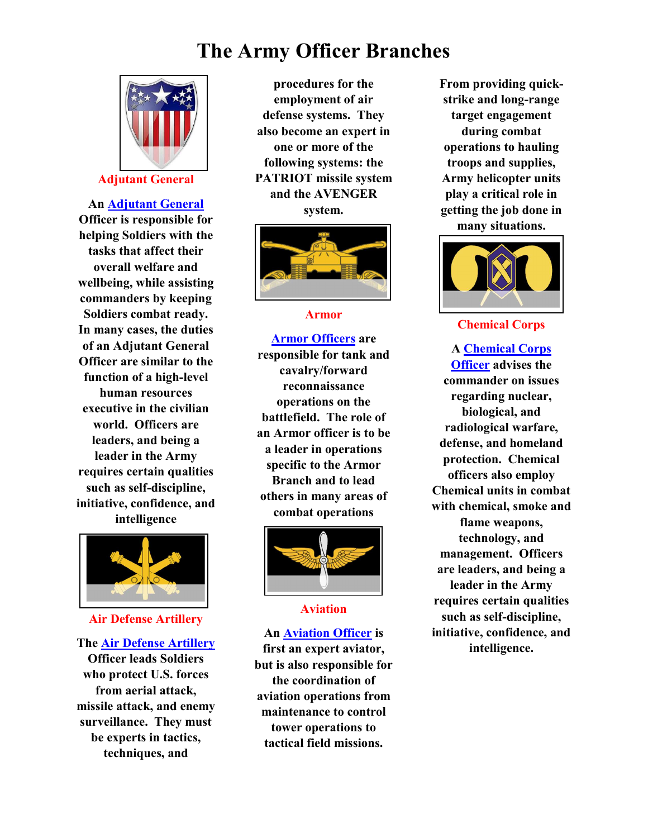

### Adjutant General

An Adjutant General Officer is responsible for helping Soldiers with the tasks that affect their overall welfare and wellbeing, while assisting commanders by keeping Soldiers combat ready. In many cases, the duties of an Adjutant General Officer are similar to the function of a high-level human resources executive in the civilian world. Officers are leaders, and being a leader in the Army requires certain qualities such as self-discipline, initiative, confidence, and intelligence



### Air Defense Artillery

### The Air Defense Artillery

Officer leads Soldiers who protect U.S. forces from aerial attack, missile attack, and enemy surveillance. They must be experts in tactics, techniques, and

procedures for the employment of air defense systems. They also become an expert in one or more of the following systems: the PATRIOT missile system and the AVENGER system.



### Armor

Armor Officers are responsible for tank and cavalry/forward reconnaissance operations on the battlefield. The role of an Armor officer is to be a leader in operations specific to the Armor Branch and to lead others in many areas of combat operations



### Aviation

### An Aviation Officer is

first an expert aviator, but is also responsible for the coordination of aviation operations from maintenance to control tower operations to tactical field missions.

From providing quickstrike and long-range target engagement during combat operations to hauling troops and supplies, Army helicopter units play a critical role in getting the job done in many situations.



### Chemical Corps

A Chemical Corps Officer advises the commander on issues regarding nuclear, biological, and radiological warfare, defense, and homeland protection. Chemical officers also employ Chemical units in combat with chemical, smoke and flame weapons, technology, and management. Officers are leaders, and being a leader in the Army requires certain qualities such as self-discipline, initiative, confidence, and intelligence.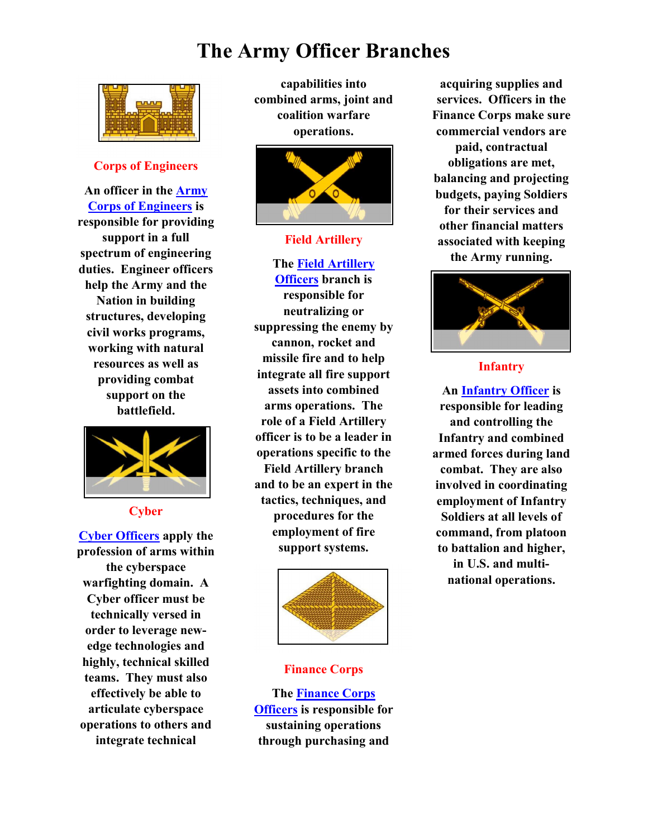

### Corps of Engineers

An officer in the Army Corps of Engineers is responsible for providing support in a full spectrum of engineering duties. Engineer officers help the Army and the Nation in building structures, developing civil works programs, working with natural resources as well as providing combat support on the battlefield.



### **Cyber**

Cyber Officers apply the profession of arms within the cyberspace warfighting domain. A Cyber officer must be technically versed in order to leverage newedge technologies and highly, technical skilled teams. They must also effectively be able to articulate cyberspace operations to others and integrate technical

capabilities into combined arms, joint and coalition warfare operations.



### Field Artillery

The Field Artillery **Officers** branch is responsible for neutralizing or suppressing the enemy by cannon, rocket and missile fire and to help integrate all fire support assets into combined arms operations. The role of a Field Artillery officer is to be a leader in operations specific to the Field Artillery branch and to be an expert in the tactics, techniques, and procedures for the employment of fire support systems.



### Finance Corps

The Finance Corps Officers is responsible for sustaining operations through purchasing and

acquiring supplies and services. Officers in the Finance Corps make sure commercial vendors are paid, contractual obligations are met, balancing and projecting budgets, paying Soldiers for their services and other financial matters associated with keeping the Army running.



### Infantry

An Infantry Officer is responsible for leading and controlling the Infantry and combined armed forces during land combat. They are also involved in coordinating employment of Infantry Soldiers at all levels of command, from platoon to battalion and higher, in U.S. and multinational operations.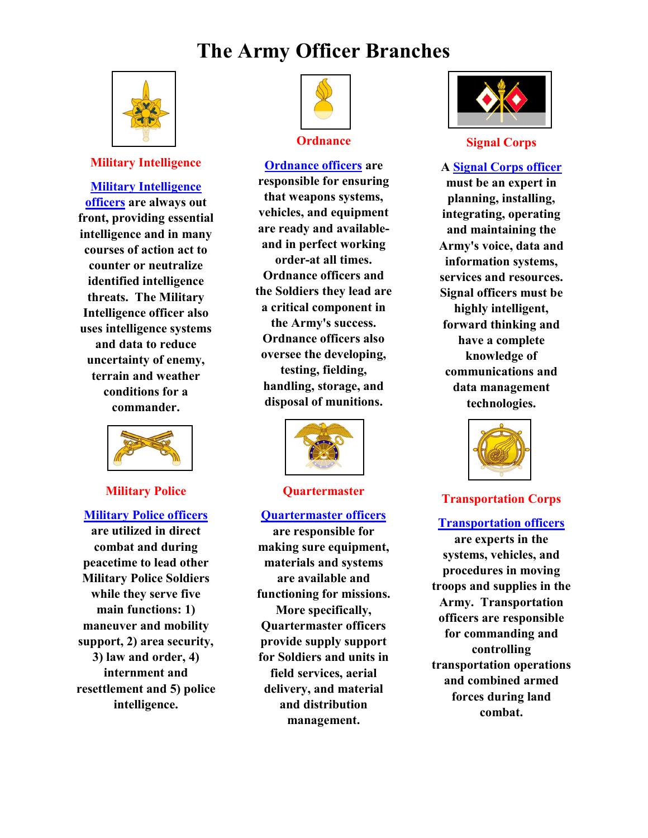

### Military Intelligence

### Military Intelligence

officers are always out front, providing essential intelligence and in many courses of action act to counter or neutralize identified intelligence threats. The Military Intelligence officer also uses intelligence systems and data to reduce uncertainty of enemy, terrain and weather conditions for a commander.



### Military Police

### Military Police officers

are utilized in direct combat and during peacetime to lead other Military Police Soldiers while they serve five main functions: 1) maneuver and mobility support, 2) area security, 3) law and order, 4) internment and resettlement and 5) police intelligence.



### **Ordnance**

Ordnance officers are responsible for ensuring that weapons systems, vehicles, and equipment are ready and availableand in perfect working order-at all times. Ordnance officers and the Soldiers they lead are a critical component in the Army's success. Ordnance officers also oversee the developing, testing, fielding, handling, storage, and disposal of munitions.



#### **Quartermaster**

### Quartermaster officers

are responsible for making sure equipment, materials and systems are available and functioning for missions. More specifically, Quartermaster officers provide supply support for Soldiers and units in field services, aerial delivery, and material and distribution management.



#### Signal Corps

A Signal Corps officer must be an expert in planning, installing, integrating, operating and maintaining the Army's voice, data and information systems, services and resources. Signal officers must be highly intelligent, forward thinking and have a complete knowledge of communications and data management technologies.



### Transportation Corps

### Transportation officers

are experts in the systems, vehicles, and procedures in moving troops and supplies in the Army. Transportation officers are responsible for commanding and controlling transportation operations and combined armed forces during land combat.